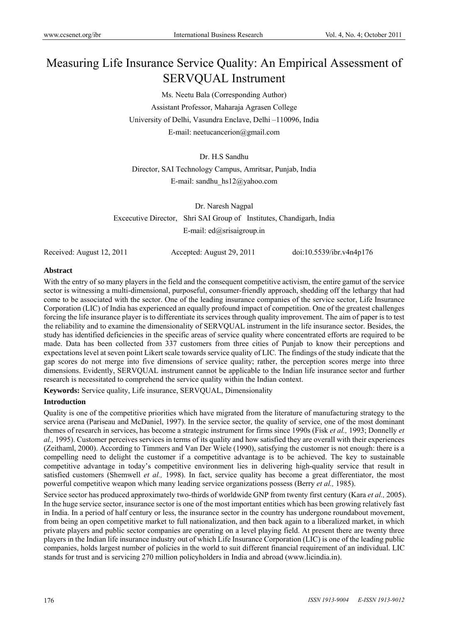# Measuring Life Insurance Service Quality: An Empirical Assessment of SERVQUAL Instrument

Ms. Neetu Bala (Corresponding Author) Assistant Professor, Maharaja Agrasen College University of Delhi, Vasundra Enclave, Delhi –110096, India E-mail: neetucancerion@gmail.com

Dr. H.S Sandhu Director, SAI Technology Campus, Amritsar, Punjab, India E-mail: sandhu\_hs12@yahoo.com

Dr. Naresh Nagpal Excecutive Director, Shri SAI Group of Institutes, Chandigarh, India E-mail: ed@srisaigroup.in

Received: August 12, 2011 Accepted: August 29, 2011 doi:10.5539/ibr.v4n4p176

## **Abstract**

With the entry of so many players in the field and the consequent competitive activism, the entire gamut of the service sector is witnessing a multi-dimensional, purposeful, consumer-friendly approach, shedding off the lethargy that had come to be associated with the sector. One of the leading insurance companies of the service sector, Life Insurance Corporation (LIC) of India has experienced an equally profound impact of competition. One of the greatest challenges forcing the life insurance player is to differentiate its services through quality improvement. The aim of paper is to test the reliability and to examine the dimensionality of SERVQUAL instrument in the life insurance sector. Besides, the study has identified deficiencies in the specific areas of service quality where concentrated efforts are required to be made. Data has been collected from 337 customers from three cities of Punjab to know their perceptions and expectations level at seven point Likert scale towards service quality of LIC. The findings of the study indicate that the gap scores do not merge into five dimensions of service quality; rather, the perception scores merge into three dimensions. Evidently, SERVQUAL instrument cannot be applicable to the Indian life insurance sector and further research is necessitated to comprehend the service quality within the Indian context.

**Keywords:** Service quality, Life insurance, SERVQUAL, Dimensionality

## **Introduction**

Quality is one of the competitive priorities which have migrated from the literature of manufacturing strategy to the service arena (Pariseau and McDaniel, 1997). In the service sector, the quality of service, one of the most dominant themes of research in services, has become a strategic instrument for firms since 1990s (Fisk *et al.,* 1993; Donnelly *et al.,* 1995). Customer perceives services in terms of its quality and how satisfied they are overall with their experiences (Zeithaml, 2000). According to Timmers and Van Der Wiele (1990), satisfying the customer is not enough: there is a compelling need to delight the customer if a competitive advantage is to be achieved. The key to sustainable competitive advantage in today's competitive environment lies in delivering high-quality service that result in satisfied customers (Shemwell *et al.,* 1998). In fact, service quality has become a great differentiator, the most powerful competitive weapon which many leading service organizations possess (Berry *et al.,* 1985).

Service sector has produced approximately two-thirds of worldwide GNP from twenty first century (Kara *et al.,* 2005). In the huge service sector, insurance sector is one of the most important entities which has been growing relatively fast in India. In a period of half century or less, the insurance sector in the country has undergone roundabout movement, from being an open competitive market to full nationalization, and then back again to a liberalized market, in which private players and public sector companies are operating on a level playing field. At present there are twenty three players in the Indian life insurance industry out of which Life Insurance Corporation (LIC) is one of the leading public companies, holds largest number of policies in the world to suit different financial requirement of an individual. LIC stands for trust and is servicing 270 million policyholders in India and abroad (www.licindia.in).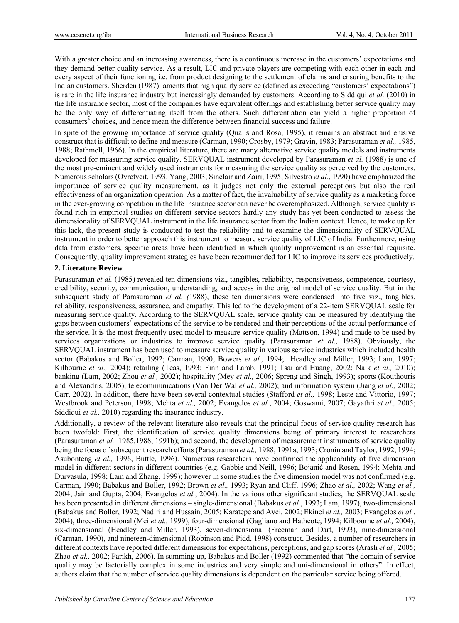With a greater choice and an increasing awareness, there is a continuous increase in the customers' expectations and they demand better quality service. As a result, LIC and private players are competing with each other in each and every aspect of their functioning i.e. from product designing to the settlement of claims and ensuring benefits to the Indian customers. Sherden (1987) laments that high quality service (defined as exceeding "customers' expectations") is rare in the life insurance industry but increasingly demanded by customers. According to Siddiqui *et al.* (2010) in the life insurance sector, most of the companies have equivalent offerings and establishing better service quality may be the only way of differentiating itself from the others. Such differentiation can yield a higher proportion of consumers' choices, and hence mean the difference between financial success and failure.

In spite of the growing importance of service quality (Qualls and Rosa, 1995), it remains an abstract and elusive construct that is difficult to define and measure (Carman, 1990; Crosby, 1979; Gravin, 1983; Parasuraman *et al.,* 1985, 1988; Rathmell, 1966). In the empirical literature, there are many alternative service quality models and instruments developed for measuring service quality. SERVQUAL instrument developed by Parasuraman *et al.* (1988) is one of the most pre-eminent and widely used instruments for measuring the service quality as perceived by the customers. Numerous scholars (Ovretveit, 1993; Yang, 2003; Sinclair and Zairi, 1995; Silvestro *et al*., 1990) have emphasized the importance of service quality measurement, as it judges not only the external perceptions but also the real effectiveness of an organization operation. As a matter of fact, the invaluability of service quality as a marketing force in the ever-growing competition in the life insurance sector can never be overemphasized. Although, service quality is found rich in empirical studies on different service sectors hardly any study has yet been conducted to assess the dimensionality of SERVQUAL instrument in the life insurance sector from the Indian context. Hence, to make up for this lack, the present study is conducted to test the reliability and to examine the dimensionality of SERVQUAL instrument in order to better approach this instrument to measure service quality of LIC of India. Furthermore, using data from customers, specific areas have been identified in which quality improvement is an essential requisite. Consequently, quality improvement strategies have been recommended for LIC to improve its services productively.

# **2. Literature Review**

Parasuraman *et al.* (1985) revealed ten dimensions viz., tangibles, reliability, responsiveness, competence, courtesy, credibility, security, communication, understanding, and access in the original model of service quality. But in the subsequent study of Parasuraman *et al. (*1988), these ten dimensions were condensed into five viz., tangibles, reliability, responsiveness, assurance, and empathy. This led to the development of a 22-item SERVQUAL scale for measuring service quality. According to the SERVQUAL scale, service quality can be measured by identifying the gaps between customers' expectations of the service to be rendered and their perceptions of the actual performance of the service. It is the most frequently used model to measure service quality (Mattson, 1994) and made to be used by services organizations or industries to improve service quality (Parasuraman *et al.,* 1988). Obviously, the SERVQUAL instrument has been used to measure service quality in various service industries which included health sector (Babakus and Boller, 1992; Carman, 1990; Bowers *et al.,* 1994; Headley and Miller, 1993; Lam, 1997; Kilbourne *et al.,* 2004); retailing (Teas, 1993; Finn and Lamb, 1991; Tsai and Huang, 2002; Naik *et al.,* 2010); banking (Lam, 2002; Zhou *et al.,* 2002); hospitality (Mey *et al.,* 2006; Spreng and Singh, 1993); sports (Kouthouris and Alexandris, 2005); telecommunications (Van Der Wal *et al.,* 2002); and information system (Jiang *et al.,* 2002; Carr, 2002). In addition, there have been several contextual studies (Stafford *et al.,* 1998; Leste and Vittorio, 1997; Westbrook and Peterson, 1998; Mehta *et al.,* 2002; Evangelos *et al.*, 2004; Goswami, 2007; Gayathri *et al.,* 2005; Siddiqui *et al.,* 2010) regarding the insurance industry.

Additionally, a review of the relevant literature also reveals that the principal focus of service quality research has been twofold: First, the identification of service quality dimensions being of primary interest to researchers (Parasuraman *et al.,* 1985,1988, 1991b); and second, the development of measurement instruments of service quality being the focus of subsequent research efforts (Parasuraman *et al.,* 1988, 1991a, 1993; Cronin and Taylor, 1992, 1994; Asubonteng *et al.,* 1996, Buttle, 1996). Numerous researchers have confirmed the applicability of five dimension model in different sectors in different countries (e.g. Gabbie and Neill, 1996; Bojanić and Rosen, 1994; Mehta and Durvasula, 1998; Lam and Zhang, 1999); however in some studies the five dimension model was not confirmed (e.g. Carman, 1990; Babakus and Boller, 1992; Brown *et al.,* 1993; Ryan and Cliff, 1996; Zhao *et al.,* 2002; Wang *et al.,* 2004; Jain and Gupta, 2004; Evangelos *et al.*, 2004). In the various other significant studies, the SERVQUAL scale has been presented in different dimensions – single-dimensional (Babakus *et al.*, 1993; Lam, 1997), two-dimensional (Babakus and Boller, 1992; Nadiri and Hussain, 2005; Karatepe and Avci, 2002; Ekinci *et al.,* 2003; Evangelos *et al.*, 2004), three-dimensional (Mei *et al.,* 1999), four-dimensional (Gagliano and Hathcote, 1994; Kilbourne *et al.,* 2004), six-dimensional (Headley and Miller, 1993), seven-dimensional (Freeman and Dart, 1993), nine-dimensional (Carman, 1990), and nineteen-dimensional (Robinson and Pidd, 1998) construct**.** Besides, a number of researchers in different contexts have reported different dimensions for expectations, perceptions, and gap scores (Arasli *et al.,* 2005; Zhao *et al.,* 2002; Parikh, 2006). In summing up, Babakus and Boller (1992) commented that "the domain of service quality may be factorially complex in some industries and very simple and uni-dimensional in others". In effect, authors claim that the number of service quality dimensions is dependent on the particular service being offered.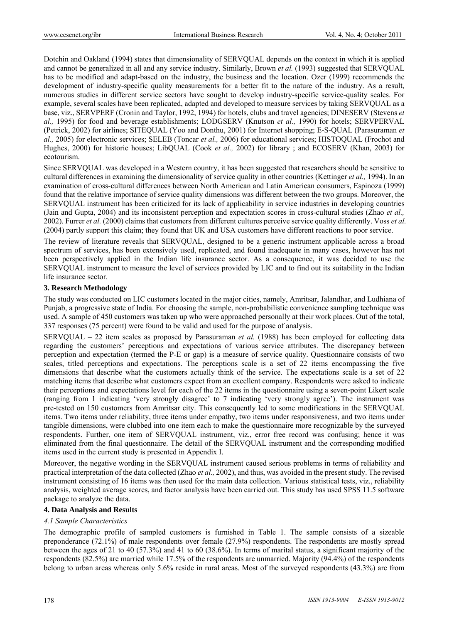Dotchin and Oakland (1994) states that dimensionality of SERVQUAL depends on the context in which it is applied and cannot be generalized in all and any service industry. Similarly, Brown *et al.* (1993) suggested that SERVQUAL has to be modified and adapt-based on the industry, the business and the location. Ozer (1999) recommends the development of industry-specific quality measurements for a better fit to the nature of the industry. As a result, numerous studies in different service sectors have sought to develop industry-specific service-quality scales. For example, several scales have been replicated, adapted and developed to measure services by taking SERVQUAL as a base, viz., SERVPERF (Cronin and Taylor, 1992, 1994) for hotels, clubs and travel agencies; DINESERV (Stevens *et al.,* 1995) for food and beverage establishments; LODGSERV (Knutson *et al.,* 1990) for hotels; SERVPERVAL (Petrick, 2002) for airlines; SITEQUAL (Yoo and Donthu, 2001) for Internet shopping; E-S-QUAL (Parasuraman *et al.,* 2005) for electronic services; SELEB (Toncar *et al.,* 2006) for educational services; HISTOQUAL (Frochot and Hughes, 2000) for historic houses; LibQUAL (Cook *et al.,* 2002) for library ; and ECOSERV (Khan, 2003) for ecotourism.

Since SERVQUAL was developed in a Western country, it has been suggested that researchers should be sensitive to cultural differences in examining the dimensionality of service quality in other countries (Kettinger *et al.,* 1994). In an examination of cross-cultural differences between North American and Latin American consumers, Espinoza (1999) found that the relative importance of service quality dimensions was different between the two groups. Moreover, the SERVQUAL instrument has been criticized for its lack of applicability in service industries in developing countries (Jain and Gupta, 2004) and its inconsistent perception and expectation scores in cross-cultural studies (Zhao *et al.,* 2002). Furrer *et al.* (2000) claims that customers from different cultures perceive service quality differently. Voss *et al.* (2004) partly support this claim; they found that UK and USA customers have different reactions to poor service.

The review of literature reveals that SERVQUAL, designed to be a generic instrument applicable across a broad spectrum of services, has been extensively used, replicated, and found inadequate in many cases, however has not been perspectively applied in the Indian life insurance sector. As a consequence, it was decided to use the SERVQUAL instrument to measure the level of services provided by LIC and to find out its suitability in the Indian life insurance sector.

#### **3. Research Methodology**

The study was conducted on LIC customers located in the major cities, namely, Amritsar, Jalandhar, and Ludhiana of Punjab, a progressive state of India. For choosing the sample, non-probabilistic convenience sampling technique was used. A sample of 450 customers was taken up who were approached personally at their work places. Out of the total, 337 responses (75 percent) were found to be valid and used for the purpose of analysis.

SERVQUAL – 22 item scales as proposed by Parasuraman *et al.* (1988) has been employed for collecting data regarding the customers' perceptions and expectations of various service attributes. The discrepancy between perception and expectation (termed the P-E or gap) is a measure of service quality. Questionnaire consists of two scales, titled perceptions and expectations. The perceptions scale is a set of 22 items encompassing the five dimensions that describe what the customers actually think of the service. The expectations scale is a set of 22 matching items that describe what customers expect from an excellent company. Respondents were asked to indicate their perceptions and expectations level for each of the 22 items in the questionnaire using a seven-point Likert scale (ranging from 1 indicating 'very strongly disagree' to 7 indicating 'very strongly agree'). The instrument was pre-tested on 150 customers from Amritsar city. This consequently led to some modifications in the SERVQUAL items. Two items under reliability, three items under empathy, two items under responsiveness, and two items under tangible dimensions, were clubbed into one item each to make the questionnaire more recognizable by the surveyed respondents. Further, one item of SERVQUAL instrument, viz., error free record was confusing; hence it was eliminated from the final questionnaire. The detail of the SERVQUAL instrument and the corresponding modified items used in the current study is presented in Appendix I.

Moreover, the negative wording in the SERVQUAL instrument caused serious problems in terms of reliability and practical interpretation of the data collected (Zhao *et al.,* 2002), and thus, was avoided in the present study. The revised instrument consisting of 16 items was then used for the main data collection. Various statistical tests, viz., reliability analysis, weighted average scores, and factor analysis have been carried out. This study has used SPSS 11.5 software package to analyze the data.

## **4. Data Analysis and Results**

## *4.1 Sample Characteristics*

The demographic profile of sampled customers is furnished in Table 1. The sample consists of a sizeable preponderance (72.1%) of male respondents over female (27.9%) respondents. The respondents are mostly spread between the ages of 21 to 40 (57.3%) and 41 to 60 (38.6%). In terms of marital status, a significant majority of the respondents (82.5%) are married while 17.5% of the respondents are unmarried. Majority (94.4%) of the respondents belong to urban areas whereas only 5.6% reside in rural areas. Most of the surveyed respondents (43.3%) are from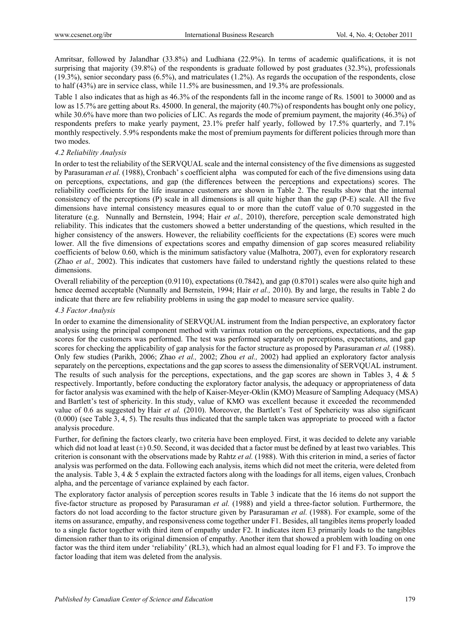Amritsar, followed by Jalandhar (33.8%) and Ludhiana (22.9%). In terms of academic qualifications, it is not surprising that majority (39.8%) of the respondents is graduate followed by post graduates (32.3%), professionals (19.3%), senior secondary pass (6.5%), and matriculates (1.2%). As regards the occupation of the respondents, close to half (43%) are in service class, while 11.5% are businessmen, and 19.3% are professionals.

Table 1 also indicates that as high as 46.3% of the respondents fall in the income range of Rs. 15001 to 30000 and as low as 15.7% are getting about Rs. 45000. In general, the majority (40.7%) of respondents has bought only one policy, while 30.6% have more than two policies of LIC. As regards the mode of premium payment, the majority (46.3%) of respondents prefers to make yearly payment, 23.1% prefer half yearly, followed by 17.5% quarterly, and 7.1% monthly respectively. 5.9% respondents make the most of premium payments for different policies through more than two modes.

# *4.2 Reliability Analysis*

In order to test the reliability of the SERVQUAL scale and the internal consistency of the five dimensions as suggested by Parasuraman *et al.* (1988), Cronbach' s coefficient alpha was computed for each of the five dimensions using data on perceptions, expectations, and gap (the differences between the perceptions and expectations) scores. The reliability coefficients for the life insurance customers are shown in Table 2. The results show that the internal consistency of the perceptions (P) scale in all dimensions is all quite higher than the gap (P-E) scale. All the five dimensions have internal consistency measures equal to or more than the cutoff value of 0.70 suggested in the literature (e.g. Nunnally and Bernstein, 1994; Hair *et al.,* 2010), therefore, perception scale demonstrated high reliability. This indicates that the customers showed a better understanding of the questions, which resulted in the higher consistency of the answers. However, the reliability coefficients for the expectations (E) scores were much lower. All the five dimensions of expectations scores and empathy dimension of gap scores measured reliability coefficients of below 0.60, which is the minimum satisfactory value (Malhotra, 2007), even for exploratory research (Zhao *et al.,* 2002). This indicates that customers have failed to understand rightly the questions related to these dimensions.

Overall reliability of the perception (0.9110), expectations (0.7842), and gap (0.8701) scales were also quite high and hence deemed acceptable (Nunnally and Bernstein, 1994; Hair *et al.,* 2010). By and large, the results in Table 2 do indicate that there are few reliability problems in using the gap model to measure service quality.

#### *4.3 Factor Analysis*

In order to examine the dimensionality of SERVQUAL instrument from the Indian perspective, an exploratory factor analysis using the principal component method with varimax rotation on the perceptions, expectations, and the gap scores for the customers was performed. The test was performed separately on perceptions, expectations, and gap scores for checking the applicability of gap analysis for the factor structure as proposed by Parasuraman *et al.* (1988). Only few studies (Parikh, 2006; Zhao *et al.,* 2002; Zhou *et al.,* 2002) had applied an exploratory factor analysis separately on the perceptions, expectations and the gap scores to assess the dimensionality of SERVQUAL instrument. The results of such analysis for the perceptions, expectations, and the gap scores are shown in Tables 3, 4 & 5 respectively. Importantly, before conducting the exploratory factor analysis, the adequacy or appropriateness of data for factor analysis was examined with the help of Kaiser-Meyer-Oklin (KMO) Measure of Sampling Adequacy (MSA) and Bartlett's test of sphericity. In this study, value of KMO was excellent because it exceeded the recommended value of 0.6 as suggested by Hair *et al.* (2010). Moreover, the Bartlett's Test of Spehericity was also significant (0.000) (see Table 3, 4, 5). The results thus indicated that the sample taken was appropriate to proceed with a factor analysis procedure.

Further, for defining the factors clearly, two criteria have been employed. First, it was decided to delete any variable which did not load at least  $(\pm)$  0.50. Second, it was decided that a factor must be defined by at least two variables. This criterion is consonant with the observations made by Rahtz *et al.* (1988). With this criterion in mind, a series of factor analysis was performed on the data. Following each analysis, items which did not meet the criteria, were deleted from the analysis. Table 3, 4  $\&$  5 explain the extracted factors along with the loadings for all items, eigen values, Cronbach alpha, and the percentage of variance explained by each factor.

The exploratory factor analysis of perception scores results in Table 3 indicate that the 16 items do not support the five-factor structure as proposed by Parasuraman *et al.* (1988) and yield a three-factor solution. Furthermore, the factors do not load according to the factor structure given by Parasuraman *et al.* (1988). For example, some of the items on assurance, empathy, and responsiveness come together under F1. Besides, all tangibles items properly loaded to a single factor together with third item of empathy under F2. It indicates item E3 primarily loads to the tangibles dimension rather than to its original dimension of empathy. Another item that showed a problem with loading on one factor was the third item under 'reliability' (RL3), which had an almost equal loading for F1 and F3. To improve the factor loading that item was deleted from the analysis.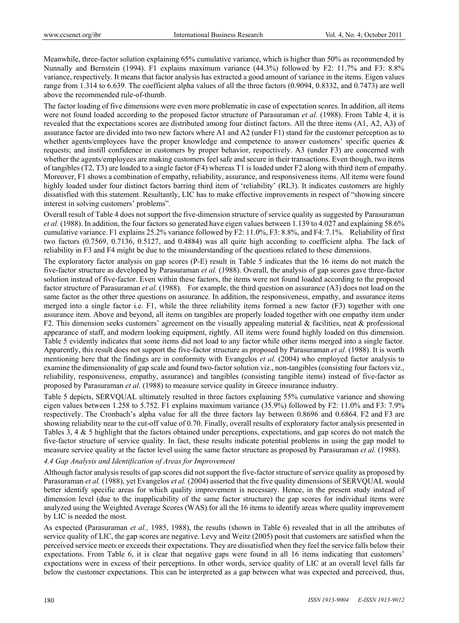Meanwhile, three-factor solution explaining 65% cumulative variance, which is higher than 50% as recommended by Nunnally and Bernstein (1994). F1 explains maximum variance (44.3%) followed by F2: 11.7% and F3: 8.8% variance, respectively. It means that factor analysis has extracted a good amount of variance in the items. Eigen values range from 1.314 to 6.639. The coefficient alpha values of all the three factors (0.9094, 0.8332, and 0.7473) are well above the recommended rule-of-thumb.

The factor loading of five dimensions were even more problematic in case of expectation scores. In addition, all items were not found loaded according to the proposed factor structure of Parasuraman *et al.* (1988). From Table 4, it is revealed that the expectations scores are distributed among four distinct factors. All the three items (A1, A2, A3) of assurance factor are divided into two new factors where A1 and A2 (under F1) stand for the customer perception as to whether agents/employees have the proper knowledge and competence to answer customers' specific queries  $\&$ requests; and instill confidence in customers by proper behavior, respectively. A3 (under F3) are concerned with whether the agents/employees are making customers feel safe and secure in their transactions. Even though, two items of tangibles (T2, T3) are loaded to a single factor (F4) whereas T1 is loaded under F2 along with third item of empathy. Moreover, F1 shows a combination of empathy, reliability, assurance, and responsiveness items. All items were found highly loaded under four distinct factors barring third item of 'reliability' (RL3). It indicates customers are highly dissatisfied with this statement. Resultantly, LIC has to make effective improvements in respect of "showing sincere interest in solving customers' problems".

Overall result of Table 4 does not support the five-dimension structure of service quality as suggested by Parasuraman *et al.* (1988). In addition, the four factors so generated have eigen values between 1.139 to 4.027 and explaining 58.6% cumulative variance. F1 explains 25.2% variance followed by F2: 11.0%, F3: 8.8%, and F4: 7.1%. Reliability of first two factors (0.7569, 0.7136, 0.5127, and 0.4884) was all quite high according to coefficient alpha. The lack of reliability in F3 and F4 might be due to the misunderstanding of the questions related to these dimensions.

The exploratory factor analysis on gap scores (P-E) result in Table 5 indicates that the 16 items do not match the five-factor structure as developed by Parasuraman *et al.* (1988). Overall, the analysis of gap scores gave three-factor solution instead of five-factor. Even within these factors, the items were not found loaded according to the proposed factor structure of Parasuraman *et al.* (1988). For example, the third question on assurance (A3) does not load on the same factor as the other three questions on assurance. In addition, the responsiveness, empathy, and assurance items merged into a single factor i.e. F1, while the three reliability items formed a new factor (F3) together with one assurance item. Above and beyond, all items on tangibles are properly loaded together with one empathy item under F2. This dimension seeks customers' agreement on the visually appealing material  $\&$  facilities, neat  $\&$  professional appearance of staff, and modern looking equipment, rightly. All items were found highly loaded on this dimension. Table 5 evidently indicates that some items did not load to any factor while other items merged into a single factor. Apparently, this result does not support the five-factor structure as proposed by Parasuraman *et al.* (1988). It is worth mentioning here that the findings are in conformity with Evangelos *et al.* (2004) who employed factor analysis to examine the dimensionality of gap scale and found two-factor solution viz., non-tangibles (consisting four factors viz., reliability, responsiveness, empathy, assurance) and tangibles (consisting tangible items) instead of five-factor as proposed by Parasuraman *et al.* (1988) to measure service quality in Greece insurance industry.

Table 5 depicts, SERVQUAL ultimately resulted in three factors explaining 55% cumulative variance and showing eigen values between 1.258 to 5.752. F1 explains maximum variance (35.9%) followed by F2: 11.0% and F3: 7.9% respectively. The Cronbach's alpha value for all the three factors lay between 0.8696 and 0.6864. F2 and F3 are showing reliability near to the cut-off value of 0.70. Finally, overall results of exploratory factor analysis presented in Tables 3, 4 & 5 highlight that the factors obtained under perceptions, expectations, and gap scores do not match the five-factor structure of service quality. In fact, these results indicate potential problems in using the gap model to measure service quality at the factor level using the same factor structure as proposed by Parasuraman *et al.* (1988).

#### *4.4 Gap Analysis and Identification of Areas for Improvement*

Although factor analysis results of gap scores did not support the five-factor structure of service quality as proposed by Parasuraman *et al.* (1988), yet Evangelos *et al.* (2004) asserted that the five quality dimensions of SERVQUAL would better identify specific areas for which quality improvement is necessary. Hence, in the present study instead of dimension level (due to the inapplicability of the same factor structure) the gap scores for individual items were analyzed using the Weighted Average Scores (WAS) for all the 16 items to identify areas where quality improvement by LIC is needed the most.

As expected (Parasuraman *et al.,* 1985, 1988), the results (shown in Table 6) revealed that in all the attributes of service quality of LIC, the gap scores are negative. Levy and Weitz (2005) posit that customers are satisfied when the perceived service meets or exceeds their expectations. They are dissatisfied when they feel the service falls below their expectations. From Table 6, it is clear that negative gaps were found in all 16 items indicating that customers' expectations were in excess of their perceptions. In other words, service quality of LIC at an overall level falls far below the customer expectations. This can be interpreted as a gap between what was expected and perceived, thus,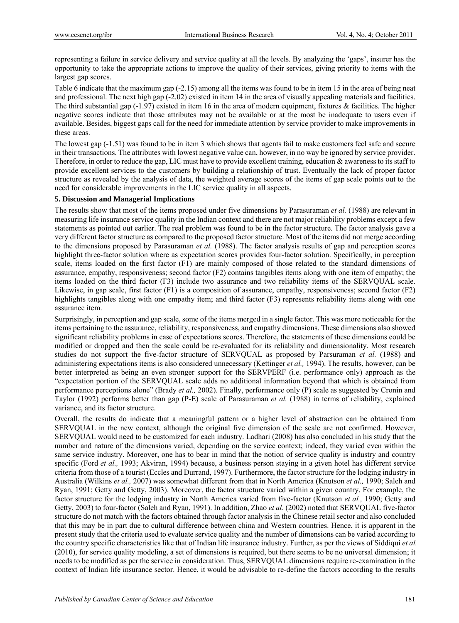representing a failure in service delivery and service quality at all the levels. By analyzing the 'gaps', insurer has the opportunity to take the appropriate actions to improve the quality of their services, giving priority to items with the largest gap scores.

Table 6 indicate that the maximum gap (-2.15) among all the items was found to be in item 15 in the area of being neat and professional. The next high gap (-2.02) existed in item 14 in the area of visually appealing materials and facilities. The third substantial gap (-1.97) existed in item 16 in the area of modern equipment, fixtures & facilities. The higher negative scores indicate that those attributes may not be available or at the most be inadequate to users even if available. Besides, biggest gaps call for the need for immediate attention by service provider to make improvements in these areas.

The lowest gap (-1.51) was found to be in item 3 which shows that agents fail to make customers feel safe and secure in their transactions. The attributes with lowest negative value can, however, in no way be ignored by service provider. Therefore, in order to reduce the gap, LIC must have to provide excellent training, education & awareness to its staff to provide excellent services to the customers by building a relationship of trust. Eventually the lack of proper factor structure as revealed by the analysis of data, the weighted average scores of the items of gap scale points out to the need for considerable improvements in the LIC service quality in all aspects.

## **5. Discussion and Managerial Implications**

The results show that most of the items proposed under five dimensions by Parasuraman *et al.* (1988) are relevant in measuring life insurance service quality in the Indian context and there are not major reliability problems except a few statements as pointed out earlier. The real problem was found to be in the factor structure. The factor analysis gave a very different factor structure as compared to the proposed factor structure. Most of the items did not merge according to the dimensions proposed by Parasuraman *et al.* (1988). The factor analysis results of gap and perception scores highlight three-factor solution where as expectation scores provides four-factor solution. Specifically, in perception scale, items loaded on the first factor (F1) are mainly composed of those related to the standard dimensions of assurance, empathy, responsiveness; second factor (F2) contains tangibles items along with one item of empathy; the items loaded on the third factor (F3) include two assurance and two reliability items of the SERVQUAL scale. Likewise, in gap scale, first factor (F1) is a composition of assurance, empathy, responsiveness; second factor (F2) highlights tangibles along with one empathy item; and third factor (F3) represents reliability items along with one assurance item.

Surprisingly, in perception and gap scale, some of the items merged in a single factor. This was more noticeable for the items pertaining to the assurance, reliability, responsiveness, and empathy dimensions. These dimensions also showed significant reliability problems in case of expectations scores. Therefore, the statements of these dimensions could be modified or dropped and then the scale could be re-evaluated for its reliability and dimensionality. Most research studies do not support the five-factor structure of SERVQUAL as proposed by Parsuraman *et al.* (1988) and administering expectations items is also considered unnecessary (Kettinger *et al.,* 1994). The results, however, can be better interpreted as being an even stronger support for the SERVPERF (i.e. performance only) approach as the "expectation portion of the SERVQUAL scale adds no additional information beyond that which is obtained from performance perceptions alone" (Brady *et al.,* 2002). Finally, performance only (P) scale as suggested by Cronin and Taylor (1992) performs better than gap (P-E) scale of Parasuraman *et al.* (1988) in terms of reliability, explained variance, and its factor structure.

Overall, the results do indicate that a meaningful pattern or a higher level of abstraction can be obtained from SERVQUAL in the new context, although the original five dimension of the scale are not confirmed. However, SERVQUAL would need to be customized for each industry. Ladhari (2008) has also concluded in his study that the number and nature of the dimensions varied, depending on the service context; indeed, they varied even within the same service industry. Moreover, one has to bear in mind that the notion of service quality is industry and country specific (Ford *et al.,* 1993; Akviran, 1994) because, a business person staying in a given hotel has different service criteria from those of a tourist (Eccles and Durrand, 1997). Furthermore, the factor structure for the lodging industry in Australia (Wilkins *et al.,* 2007) was somewhat different from that in North America (Knutson *et al.,* 1990; Saleh and Ryan, 1991; Getty and Getty, 2003). Moreover, the factor structure varied within a given country. For example, the factor structure for the lodging industry in North America varied from five-factor (Knutson *et al.,* 1990; Getty and Getty, 2003) to four-factor (Saleh and Ryan, 1991). In addition, Zhao *et al.* (2002) noted that SERVQUAL five-factor structure do not match with the factors obtained through factor analysis in the Chinese retail sector and also concluded that this may be in part due to cultural difference between china and Western countries. Hence, it is apparent in the present study that the criteria used to evaluate service quality and the number of dimensions can be varied according to the country specific characteristics like that of Indian life insurance industry. Further, as per the views of Siddiqui *et al.* (2010), for service quality modeling, a set of dimensions is required, but there seems to be no universal dimension; it needs to be modified as per the service in consideration. Thus, SERVQUAL dimensions require re-examination in the context of Indian life insurance sector. Hence, it would be advisable to re-define the factors according to the results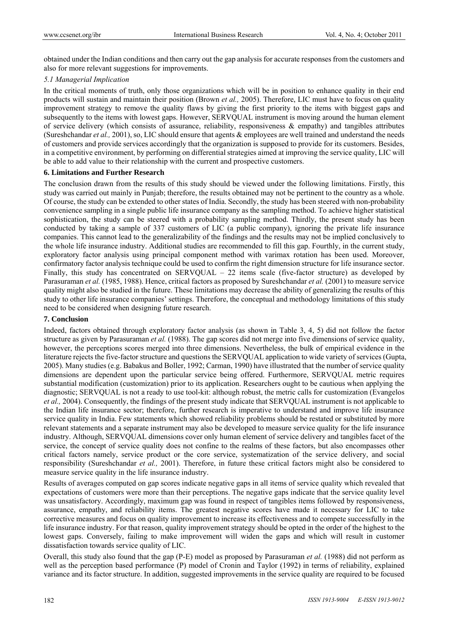obtained under the Indian conditions and then carry out the gap analysis for accurate responses from the customers and also for more relevant suggestions for improvements.

## *5.1 Managerial Implication*

In the critical moments of truth, only those organizations which will be in position to enhance quality in their end products will sustain and maintain their position (Brown *et al.,* 2005). Therefore, LIC must have to focus on quality improvement strategy to remove the quality flaws by giving the first priority to the items with biggest gaps and subsequently to the items with lowest gaps. However, SERVQUAL instrument is moving around the human element of service delivery (which consists of assurance, reliability, responsiveness  $\&$  empathy) and tangibles attributes (Sureshchandar *et al.,* 2001), so, LIC should ensure that agents & employees are well trained and understand the needs of customers and provide services accordingly that the organization is supposed to provide for its customers. Besides, in a competitive environment, by performing on differential strategies aimed at improving the service quality, LIC will be able to add value to their relationship with the current and prospective customers.

# **6. Limitations and Further Research**

The conclusion drawn from the results of this study should be viewed under the following limitations. Firstly, this study was carried out mainly in Punjab; therefore, the results obtained may not be pertinent to the country as a whole. Of course, the study can be extended to other states of India. Secondly, the study has been steered with non-probability convenience sampling in a single public life insurance company as the sampling method. To achieve higher statistical sophistication, the study can be steered with a probability sampling method. Thirdly, the present study has been conducted by taking a sample of 337 customers of LIC (a public company), ignoring the private life insurance companies. This cannot lead to the generalizability of the findings and the results may not be implied conclusively to the whole life insurance industry. Additional studies are recommended to fill this gap. Fourthly, in the current study, exploratory factor analysis using principal component method with varimax rotation has been used. Moreover, confirmatory factor analysis technique could be used to confirm the right dimension structure for life insurance sector. Finally, this study has concentrated on  $SERVQUAL - 22$  items scale (five-factor structure) as developed by Parasuraman *et al.* (1985, 1988). Hence, critical factors as proposed by Sureshchandar *et al.* (2001) to measure service quality might also be studied in the future. These limitations may decrease the ability of generalizing the results of this study to other life insurance companies' settings. Therefore, the conceptual and methodology limitations of this study need to be considered when designing future research.

## **7. Conclusion**

Indeed, factors obtained through exploratory factor analysis (as shown in Table 3, 4, 5) did not follow the factor structure as given by Parasuraman *et al.* (1988). The gap scores did not merge into five dimensions of service quality, however, the perceptions scores merged into three dimensions. Nevertheless, the bulk of empirical evidence in the literature rejects the five-factor structure and questions the SERVQUAL application to wide variety of services (Gupta, 2005). Many studies (e.g. Babakus and Boller, 1992; Carman, 1990) have illustrated that the number of service quality dimensions are dependent upon the particular service being offered. Furthermore, SERVQUAL metric requires substantial modification (customization) prior to its application. Researchers ought to be cautious when applying the diagnostic; SERVQUAL is not a ready to use tool-kit: although robust, the metric calls for customization (Evangelos *et al.,* 2004). Consequently, the findings of the present study indicate that SERVQUAL instrument is not applicable to the Indian life insurance sector; therefore, further research is imperative to understand and improve life insurance service quality in India. Few statements which showed reliability problems should be restated or substituted by more relevant statements and a separate instrument may also be developed to measure service quality for the life insurance industry. Although, SERVQUAL dimensions cover only human element of service delivery and tangibles facet of the service, the concept of service quality does not confine to the realms of these factors, but also encompasses other critical factors namely, service product or the core service, systematization of the service delivery, and social responsibility (Sureshchandar *et al.,* 2001). Therefore, in future these critical factors might also be considered to measure service quality in the life insurance industry.

Results of averages computed on gap scores indicate negative gaps in all items of service quality which revealed that expectations of customers were more than their perceptions. The negative gaps indicate that the service quality level was unsatisfactory. Accordingly, maximum gap was found in respect of tangibles items followed by responsiveness, assurance, empathy, and reliability items. The greatest negative scores have made it necessary for LIC to take corrective measures and focus on quality improvement to increase its effectiveness and to compete successfully in the life insurance industry. For that reason, quality improvement strategy should be opted in the order of the highest to the lowest gaps. Conversely, failing to make improvement will widen the gaps and which will result in customer dissatisfaction towards service quality of LIC.

Overall, this study also found that the gap (P-E) model as proposed by Parasuraman *et al.* (1988) did not perform as well as the perception based performance (P) model of Cronin and Taylor (1992) in terms of reliability, explained variance and its factor structure. In addition, suggested improvements in the service quality are required to be focused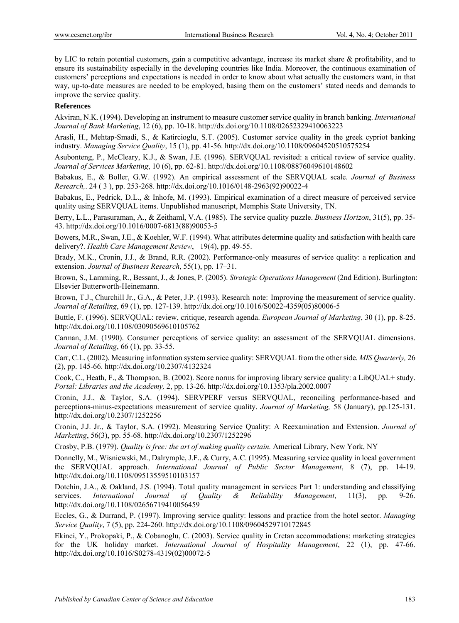by LIC to retain potential customers, gain a competitive advantage, increase its market share & profitability, and to ensure its sustainability especially in the developing countries like India. Moreover, the continuous examination of customers' perceptions and expectations is needed in order to know about what actually the customers want, in that way, up-to-date measures are needed to be employed, basing them on the customers' stated needs and demands to improve the service quality.

# **References**

Akviran, N.K. (1994). Developing an instrument to measure customer service quality in branch banking. *International Journal of Bank Marketing*, 12 (6), pp. 10-18. http://dx.doi.org/10.1108/02652329410063223

Arasli, H., Mehtap-Smadi, S., & Katircioglu, S.T. (2005). Customer service quality in the greek cypriot banking industry. *Managing Service Quality*, 15 (1), pp. 41-56. http://dx.doi.org/10.1108/09604520510575254

Asubonteng, P., McCleary, K.J., & Swan, J.E. (1996). SERVQUAL revisited: a critical review of service quality. *Journal of Services Marketing*, 10 (6), pp. 62-81. http://dx.doi.org/10.1108/08876049610148602

Babakus, E., & Boller, G.W. (1992). An empirical assessment of the SERVQUAL scale. *Journal of Business Research,*. 24 ( 3 ), pp. 253-268. http://dx.doi.org/10.1016/0148-2963(92)90022-4

Babakus, E., Pedrick, D.L., & Inhofe, M. (1993). Empirical examination of a direct measure of perceived service quality using SERVQUAL items. Unpublished manuscript, Memphis State University, TN.

Berry, L.L., Parasuraman, A., & Zeithaml, V.A. (1985). The service quality puzzle. *Business Horizon*, 31(5), pp. 35- 43. http://dx.doi.org/10.1016/0007-6813(88)90053-5

Bowers, M.R., Swan, J.E., & Koehler, W.F. (1994). What attributes determine quality and satisfaction with health care delivery?. *Health Care Management Review*, 19(4), pp. 49-55.

Brady, M.K., Cronin, J.J., & Brand, R.R. (2002). Performance-only measures of service quality: a replication and extension. *Journal of Business Research*, 55(1), pp. 17–31.

Brown, S., Lamming, R., Bessant, J., & Jones, P. (2005). *Strategic Operations Management* (2nd Edition). Burlington: Elsevier Butterworth-Heinemann.

Brown, T.J., Churchill Jr., G.A., & Peter, J.P. (1993). Research note: Improving the measurement of service quality. *Journal of Retailing*, 69 (1), pp. 127-139. http://dx.doi.org/10.1016/S0022-4359(05)80006-5

Buttle, F. (1996). SERVQUAL: review, critique, research agenda. *European Journal of Marketing*, 30 (1), pp. 8-25. http://dx.doi.org/10.1108/03090569610105762

Carman, J.M. (1990). Consumer perceptions of service quality: an assessment of the SERVQUAL dimensions. *Journal of Retailing*, 66 (1), pp. 33-55.

Carr, C.L. (2002). Measuring information system service quality: SERVQUAL from the other side. *MIS Quarterly,* 26 (2), pp. 145-66. http://dx.doi.org/10.2307/4132324

Cook, C., Heath, F., & Thompson, B. (2002). Score norms for improving library service quality: a LibQUAL+ study. *Portal: Libraries and the Academy,* 2, pp. 13-26. http://dx.doi.org/10.1353/pla.2002.0007

Cronin, J.J., & Taylor, S.A. (1994). SERVPERF versus SERVQUAL, reconciling performance-based and perceptions-minus-expectations measurement of service quality. *Journal of Marketing,* 58 (January), pp.125-131. http://dx.doi.org/10.2307/1252256

Cronin, J.J. Jr., & Taylor, S.A. (1992). Measuring Service Quality: A Reexamination and Extension. *Journal of Marketing*, 56(3), pp. 55-68. http://dx.doi.org/10.2307/1252296

Crosby, P.B. (1979). *Quality is free: the art of making quality certain.* Americal Library, New York, NY

Donnelly, M., Wisniewski, M., Dalrymple, J.F., & Curry, A.C. (1995). Measuring service quality in local government the SERVQUAL approach. *International Journal of Public Sector Management*, 8 (7), pp. 14-19. http://dx.doi.org/10.1108/09513559510103157

Dotchin, J.A., & Oakland, J.S. (1994). Total quality management in services Part 1: understanding and classifying services. *International Journal of Quality & Reliability Management*, 11(3), pp. 9-26. http://dx.doi.org/10.1108/02656719410056459

Eccles, G., & Durrand, P. (1997). Improving service quality: lessons and practice from the hotel sector. *Managing Service Quality*, 7 (5), pp. 224-260. http://dx.doi.org/10.1108/09604529710172845

Ekinci, Y., Prokopaki, P., & Cobanoglu, C. (2003). Service quality in Cretan accommodations: marketing strategies for the UK holiday market. *International Journal of Hospitality Management*, 22 (1), pp. 47-66. http://dx.doi.org/10.1016/S0278-4319(02)00072-5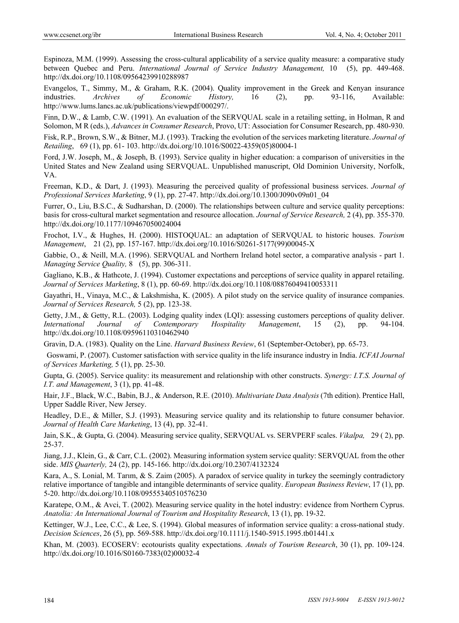Espinoza, M.M. (1999). Assessing the cross-cultural applicability of a service quality measure: a comparative study between Quebec and Peru. *International Journal of Service Industry Management,* 10 (5), pp. 449-468. http://dx.doi.org/10.1108/09564239910288987

Evangelos, T., Simmy, M., & Graham, R.K. (2004). Quality improvement in the Greek and Kenyan insurance industries. *Archives of Economic History,* 16 (2), pp. 93-116, Available: http://www.lums.lancs.ac.uk/publications/viewpdf/000297/.

Finn, D.W., & Lamb, C.W. (1991). An evaluation of the SERVQUAL scale in a retailing setting, in Holman, R and Solomon, M R (eds.), *Advances in Consumer Research*, Provo, UT: Association for Consumer Research, pp. 480-930.

Fisk, R.P., Brown, S.W., & Bitner, M.J. (1993). Tracking the evolution of the services marketing literature. *Journal of Retailing*, 69 (1), pp. 61- 103. http://dx.doi.org/10.1016/S0022-4359(05)80004-1

Ford, J.W. Joseph, M., & Joseph, B. (1993). Service quality in higher education: a comparison of universities in the United States and New Zealand using SERVQUAL. Unpublished manuscript, Old Dominion University, Norfolk, VA.

Freeman, K.D., & Dart, J. (1993). Measuring the perceived quality of professional business services. *Journal of Professional Services Marketing*, 9 (1), pp. 27-47. http://dx.doi.org/10.1300/J090v09n01\_04

Furrer, O., Liu, B.S.C., & Sudharshan, D. (2000). The relationships between culture and service quality perceptions: basis for cross-cultural market segmentation and resource allocation. *Journal of Service Research,* 2 (4), pp. 355-370. http://dx.doi.org/10.1177/109467050024004

Frochot, I.V., & Hughes, H. (2000). HISTOQUAL: an adaptation of SERVQUAL to historic houses. *Tourism Management*, 21 (2), pp. 157-167. http://dx.doi.org/10.1016/S0261-5177(99)00045-X

Gabbie, O., & Neill, M.A. (1996). SERVQUAL and Northern Ireland hotel sector, a comparative analysis - part 1. *Managing Service Quality,* 8 (5), pp. 306-311.

Gagliano, K.B., & Hathcote, J. (1994). Customer expectations and perceptions of service quality in apparel retailing. *Journal of Services Marketing*, 8 (1), pp. 60-69. http://dx.doi.org/10.1108/08876049410053311

Gayathri, H., Vinaya, M.C., & Lakshmisha, K. (2005). A pilot study on the service quality of insurance companies. *Journal of Services Research,* 5 (2), pp. 123-38.

Getty, J.M., & Getty, R.L. (2003). Lodging quality index (LQI): assessing customers perceptions of quality deliver. *International Journal of Contemporary Hospitality Management*, 15 (2), pp. 94-104. http://dx.doi.org/10.1108/09596110310462940

Gravin, D.A. (1983). Quality on the Line. *Harvard Business Review*, 61 (September-October), pp. 65-73.

 Goswami, P. (2007). Customer satisfaction with service quality in the life insurance industry in India. *ICFAI Journal of Services Marketing,* 5 (1), pp. 25-30.

Gupta, G. (2005). Service quality: its measurement and relationship with other constructs. *Synergy: I.T.S. Journal of I.T. and Management*, 3 (1), pp. 41-48.

Hair, J.F., Black, W.C., Babin, B.J., & Anderson, R.E. (2010). *Multivariate Data Analysis* (7th edition). Prentice Hall, Upper Saddle River, New Jersey.

Headley, D.E., & Miller, S.J. (1993). Measuring service quality and its relationship to future consumer behavior. *Journal of Health Care Marketing*, 13 (4), pp. 32-41.

Jain, S.K., & Gupta, G. (2004). Measuring service quality, SERVQUAL vs. SERVPERF scales. *Vikalpa,* 29 ( 2), pp. 25-37.

Jiang, J.J., Klein, G., & Carr, C.L. (2002). Measuring information system service quality: SERVQUAL from the other side. *MIS Quarterly,* 24 (2), pp. 145-166. http://dx.doi.org/10.2307/4132324

Kara, A., S. Lonial, M. Tarım, & S. Zaim (2005). A paradox of service quality in turkey the seemingly contradictory relative importance of tangible and intangible determinants of service quality. *European Business Review*, 17 (1), pp. 5-20. http://dx.doi.org/10.1108/09555340510576230

Karatepe, O.M., & Avci, T. (2002). Measuring service quality in the hotel industry: evidence from Northern Cyprus. *Anatolia: An International Journal of Tourism and Hospitality Research*, 13 (1), pp. 19-32.

Kettinger, W.J., Lee, C.C., & Lee, S. (1994). Global measures of information service quality: a cross-national study. *Decision Sciences*, 26 (5), pp. 569-588. http://dx.doi.org/10.1111/j.1540-5915.1995.tb01441.x

Khan, M. (2003). ECOSERV: ecotourists quality expectations. *Annals of Tourism Research*, 30 (1), pp. 109-124. http://dx.doi.org/10.1016/S0160-7383(02)00032-4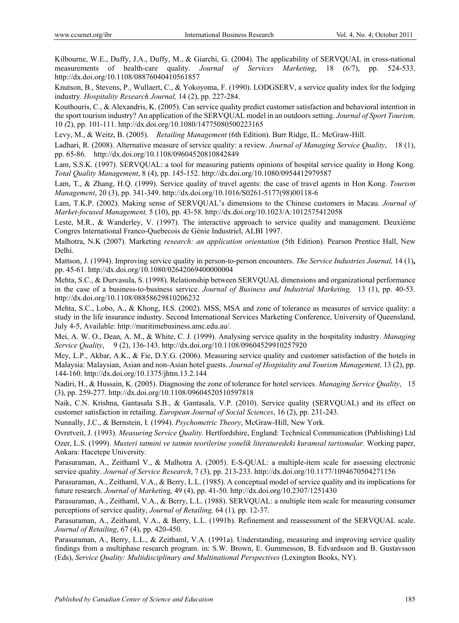Kilbourne, W.E., Duffy, J.A., Duffy, M., & Giarchi, G. (2004). The applicability of SERVQUAL in cross-national measurements of health-care quality. *Journal of Services Marketing*, 18 (6/7), pp. 524-533. http://dx.doi.org/10.1108/08876040410561857

Knutson, B., Stevens, P., Wullaert, C., & Yokoyoma, F. (1990). LODGSERV, a service quality index for the lodging industry. *Hospitality Research Journal,* 14 (2), pp. 227-284.

Kouthouris, C., & Alexandris, K. (2005). Can service quality predict customer satisfaction and behavioral intention in the sport tourism industry? An application of the SERVQUAL model in an outdoors setting. *Journal of Sport Tourism,*  10 *(*2), pp. 101-111. http://dx.doi.org/10.1080/14775080500223165

Levy, M., & Weitz, B. (2005). *Retailing Management* (6th Edition). Burr Ridge, IL: McGraw-Hill.

Ladhari, R. (2008). Alternative measure of service quality: a review. *Journal of Managing Service Quality*, 18 (1), pp. 65-86. http://dx.doi.org/10.1108/09604520810842849

Lam, S.S.K. (1997). SERVQUAL: a tool for measuring patients opinions of hospital service quality in Hong Kong. *Total Quality Management*, 8 (4), pp. 145-152. http://dx.doi.org/10.1080/0954412979587

Lam, T., & Zhang, H.Q. (1999). Service quality of travel agents: the case of travel agents in Hon Kong. *Tourism Management*, 20 (3), pp. 341-349. http://dx.doi.org/10.1016/S0261-5177(98)00118-6

Lam, T.K.P. (2002). Making sense of SERVQUAL's dimensions to the Chinese customers in Macau. *Journal of Market-focused Management,* 5 (10), pp. 43-58. http://dx.doi.org/10.1023/A:1012575412058

Leste, M.R., & Wanderley, V. (1997). The interactive approach to service quality and management. Deuxième Congres International Franco-Quebecois de Génie Industriel, ALBI 1997.

Malhotra, N.K (2007). Marketing *research: an application orientation* (5th Edition). Pearson Prentice Hall, New Delhi.

Mattson, J. (1994). Improving service quality in person-to-person encounters. *The Service Industries Journal,* 14 (1)**,**  pp. 45-61. http://dx.doi.org/10.1080/02642069400000004

Mehta, S.C., & Durvasula, S. (1998). Relationship between SERVQUAL dimensions and organizational performance in the case of a business-to-business service. *Journal of Business and Industrial Marketing,* 13 (1), pp. 40-53. http://dx.doi.org/10.1108/08858629810206232

Mehta, S.C., Lobo, A., & Khong, H.S. (2002). MSS, MSA and zone of tolerance as measures of service quality: a study in the life insurance industry. Second International Services Marketing Conference, University of Queensland, July 4-5, Available: http://maritimebusiness.amc.edu.au/.

Mei, A. W. O., Dean, A. M., & White, C. J. (1999). Analysing service quality in the hospitality industry. *Managing Service Quality*, 9 (2), 136-143. http://dx.doi.org/10.1108/09604529910257920

Mey, L.P., Akbar, A.K., & Fie, D.Y.G. (2006). Measuring service quality and customer satisfaction of the hotels in Malaysia: Malaysian, Asian and non-Asian hotel guests. *Journal of Hospitality and Tourism Management,* 13 (2), pp. 144-160. http://dx.doi.org/10.1375/jhtm.13.2.144

Nadiri, H., & Hussain, K. (2005). Diagnosing the zone of tolerance for hotel services. *Managing Service Quality*, 15 (3), pp. 259-277. http://dx.doi.org/10.1108/09604520510597818

Naik, C.N. Krishna, Gantasala S.B., & Gantasala, V.P. (2010). Service quality (SERVQUAL) and its effect on customer satisfaction in retailing. *European Journal of Social Sciences*, 16 (2), pp. 231-243.

Nunnally, J.C., & Bernstein, I. (1994). *Psychometric Theory*, McGraw-Hill, New York.

Ovretveit, J. (1993). *Measuring Service Quality.* Hertfordshire, England: Technical Communication (Publishing) Ltd Ozer, L.S. (1999). *Musteri tatmini ve tatmin teorilerine yonelik literaturedeki kuramsal tartismalar.* Working paper, Ankara: Hacetepe University.

Parasuraman, A., Zeithaml V., & Malhotra A. (2005). E-S-QUAL: a multiple-item scale for assessing electronic service quality. *Journal of Service Research*, 7 (3), pp. 213-233. http://dx.doi.org/10.1177/1094670504271156

Parasuraman, A., Zeithaml, V.A., & Berry, L.L. (1985). A conceptual model of service quality and its implications for future research. *Journal of Marketin*g*,* 49 (4), pp. 41-50. http://dx.doi.org/10.2307/1251430

Parasuraman, A., Zeithaml, V.A., & Berry, L.L. (1988). SERVQUAL: a multiple item scale for measuring consumer perceptions of service quality, *Journal of Retailing,* 64 (1)*,* pp. 12-37.

Parasuraman, A., Zeithaml, V.A., & Berry, L.L. (1991b). Refinement and reassessment of the SERVQUAL scale. *Journal of Retailing*, 67 (4), pp. 420-450.

Parasuraman, A., Berry, L.L., & Zeithaml, V.A. (1991a). Understanding, measuring and improving service quality findings from a multiphase research program. in: S.W. Brown, E. Gummesson, B. Edvardsson and B. Gustavsson (Eds), *Service Quality: Multidisciplinary and Multinational Perspectives* (Lexington Books, NY).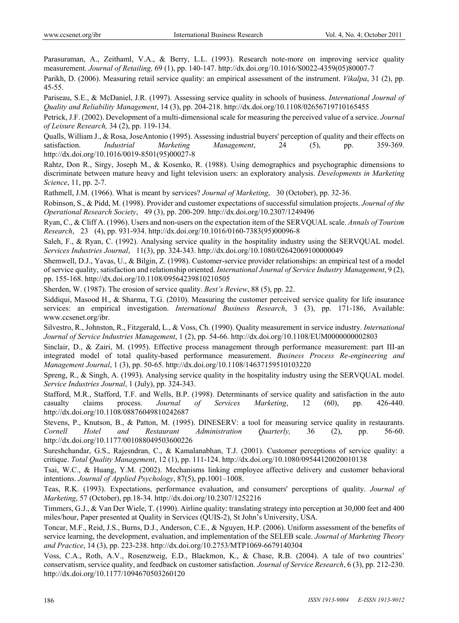Parasuraman, A., Zeithaml, V.A., & Berry, L.L. (1993). Research note-more on improving service quality measurement. *Journal of Retailing,* 69 (1), pp. 140-147. http://dx.doi.org/10.1016/S0022-4359(05)80007-7

Parikh, D. (2006). Measuring retail service quality: an empirical assessment of the instrument. *Vikalpa*, 31 (2), pp. 45-55.

Pariseau, S.E., & McDaniel, J.R. (1997). Assessing service quality in schools of business. *International Journal of Quality and Reliability Management*, 14 (3), pp. 204-218. http://dx.doi.org/10.1108/02656719710165455

Petrick, J.F. (2002). Development of a multi-dimensional scale for measuring the perceived value of a service. *Journal of Leisure Research,* 34 (2), pp. 119-134.

Qualls, William J., & Rosa, JoseAntonio (1995). Assessing industrial buyers' perception of quality and their effects on satisfaction. *Industrial Marketing Management*, 24 (5), pp. 359-369. http://dx.doi.org/10.1016/0019-8501(95)00027-8

Rahtz, Don R., Sirgy, Joseph M., & Kosenko, R. (1988). Using demographics and psychographic dimensions to discriminate between mature heavy and light television users: an exploratory analysis. *Developments in Marketing Science*, 11, pp. 2-7.

Rathmell, J.M. (1966). What is meant by services? *Journal of Marketing*, 30 (October), pp. 32-36.

Robinson, S., & Pidd, M. (1998). Provider and customer expectations of successful simulation projects. *Journal of the Operational Research Society*, 49 (3), pp. 200-209. http://dx.doi.org/10.2307/1249496

Ryan, C., & Cliff A. (1996). Users and non-users on the expectation item of the SERVQUAL scale. *Annals of Tourism Research*, 23 (4), pp. 931-934. http://dx.doi.org/10.1016/0160-7383(95)00096-8

Saleh, F., & Ryan, C. (1992). Analysing service quality in the hospitality industry using the SERVQUAL model. *Services Industries Journal*, 11(3), pp. 324-343. http://dx.doi.org/10.1080/02642069100000049

Shemwell, D.J., Yavas, U., & Bilgin, Z. (1998). Customer-service provider relationships: an empirical test of a model of service quality, satisfaction and relationship oriented. *International Journal of Service Industry Management*, 9 (2), pp. 155-168. http://dx.doi.org/10.1108/09564239810210505

Sherden, W. (1987). The erosion of service quality. *Best's Review*, 88 (5), pp. 22.

Siddiqui, Masood H., & Sharma, T.G. (2010). Measuring the customer perceived service quality for life insurance services: an empirical investigation. *International Business Research*, 3 (3), pp. 171-186, Available: www.ccsenet.org/ibr.

Silvestro, R., Johnston, R., Fitzgerald, L., & Voss, Ch. (1990). Quality measurement in service industry. *International Journal of Service Industries Management*, 1 (2), pp. 54-66. http://dx.doi.org/10.1108/EUM0000000002803

Sinclair, D., & Zairi, M. (1995). Effective process management through performance measurement: part III-an integrated model of total quality-based performance measurement. *Business Process Re-engineering and Management Journal*, 1 (3), pp. 50-65. http://dx.doi.org/10.1108/14637159510103220

Spreng, R., & Singh, A. (1993). Analysing service quality in the hospitality industry using the SERVQUAL model. *Service Industries Journal*, 1 (July), pp. 324-343.

Stafford, M.R., Stafford, T.F. and Wells, B.P. (1998). Determinants of service quality and satisfaction in the auto casualty claims process. *Journal of Services Marketing*, 12 (60), pp. 426-440. http://dx.doi.org/10.1108/08876049810242687

Stevens, P., Knutson, B., & Patton, M. (1995). DINESERV: a tool for measuring service quality in restaurants. *Cornell Hotel and Restaurant Administration Quarterly,* 36 (2), pp. 56-60. http://dx.doi.org/10.1177/001088049503600226

Sureshchandar, G.S., Rajesndran, C., & Kamalanabhan, T.J. (2001). Customer perceptions of service quality: a critique. *Total Quality Management*, 12 (1), pp. 111-124. http://dx.doi.org/10.1080/09544120020010138

Tsai, W.C., & Huang, Y.M. (2002). Mechanisms linking employee affective delivery and customer behavioral intentions. *Journal of Applied Psychology*, 87(5), pp.1001–1008.

Teas, R.K. (1993). Expectations, performance evaluation, and consumers' perceptions of quality. *Journal of Marketing*, 57 (October), pp.18-34. http://dx.doi.org/10.2307/1252216

Timmers, G.J., & Van Der Wiele, T. (1990). Airline quality: translating strategy into perception at 30,000 feet and 400 miles/hour, Paper presented at Quality in Services (QUIS-2), St John's University, USA.

Toncar, M.F., Reid, J.S., Burns, D.J., Anderson, C.E., & Nguyen, H.P. (2006). Uniform assessment of the benefits of service learning, the development, evaluation, and implementation of the SELEB scale. *Journal of Marketing Theory and Practice*, 14 (3), pp. 223-238. http://dx.doi.org/10.2753/MTP1069-6679140304

Voss, C.A., Roth, A.V., Rosenzweig, E.D., Blackmon, K., & Chase, R.B. (2004). A tale of two countries' conservatism, service quality, and feedback on customer satisfaction. *Journal of Service Research*, 6 (3), pp. 212-230. http://dx.doi.org/10.1177/1094670503260120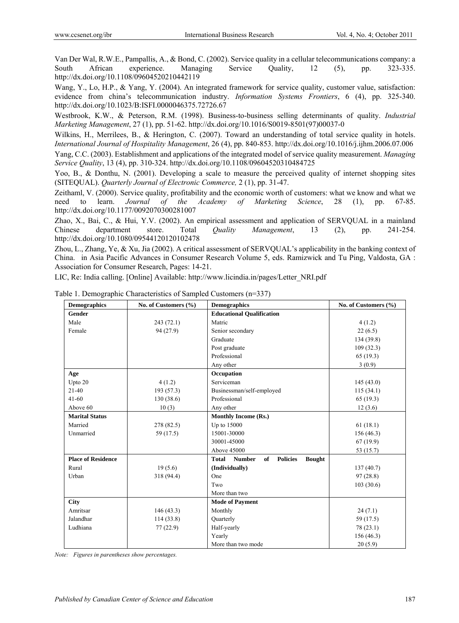Van Der Wal, R.W.E., Pampallis, A., & Bond, C. (2002). Service quality in a cellular telecommunications company: a South African experience. Managing Service Quality, 12 (5), pp. 323-335. http://dx.doi.org/10.1108/09604520210442119

Wang, Y., Lo, H.P., & Yang, Y. (2004). An integrated framework for service quality, customer value, satisfaction: evidence from china's telecommunication industry. *Information Systems Frontiers*, 6 (4), pp. 325-340. http://dx.doi.org/10.1023/B:ISFI.0000046375.72726.67

Westbrook, K.W., & Peterson, R.M. (1998). Business-to-business selling determinants of quality. *Industrial Marketing Management*, 27 (1), pp. 51-62. http://dx.doi.org/10.1016/S0019-8501(97)00037-0

Wilkins, H., Merrilees, B., & Herington, C. (2007). Toward an understanding of total service quality in hotels. *International Journal of Hospitality Management*, 26 (4), pp. 840-853. http://dx.doi.org/10.1016/j.ijhm.2006.07.006 Yang, C.C. (2003). Establishment and applications of the integrated model of service quality measurement. *Managing* 

*Service Quality*, 13 (4), pp. 310-324. http://dx.doi.org/10.1108/09604520310484725

Yoo, B., & Donthu, N. (2001). Developing a scale to measure the perceived quality of internet shopping sites (SITEQUAL). *Quarterly Journal of Electronic Commerce,* 2 (1), pp. 31-47.

Zeithaml, V. (2000). Service quality, profitability and the economic worth of customers: what we know and what we need to learn. *Journal of the Academy of Marketing Science*, 28 (1), pp. 67-85. http://dx.doi.org/10.1177/0092070300281007

Zhao, X., Bai, C., & Hui, Y.V. (2002). An empirical assessment and application of SERVQUAL in a mainland Chinese department store. Total *Quality Management*, 13 (2), pp. 241-254. http://dx.doi.org/10.1080/09544120120102478

Zhou, L., Zhang, Ye, & Xu, Jia (2002). A critical assessment of SERVQUAL's applicability in the banking context of China. in Asia Pacific Advances in Consumer Research Volume 5, eds. Ramizwick and Tu Ping, Valdosta, GA : Association for Consumer Research, Pages: 14-21.

LIC, Re: India calling. [Online] Available: http://www.licindia.in/pages/Letter\_NRI.pdf

| <b>Demographics</b>       | No. of Customers (%) | <b>Demographics</b>                                                     | No. of Customers (%) |
|---------------------------|----------------------|-------------------------------------------------------------------------|----------------------|
| Gender                    |                      | <b>Educational Qualification</b>                                        |                      |
| Male                      | 243(72.1)            | Matric                                                                  | 4(1.2)               |
| Female                    | 94 (27.9)            | Senior secondary                                                        | 22(6.5)              |
|                           |                      | Graduate                                                                | 134 (39.8)           |
|                           |                      | Post graduate                                                           | 109(32.3)            |
|                           |                      | Professional                                                            | 65(19.3)             |
|                           |                      | Any other                                                               | 3(0.9)               |
| Age                       |                      | Occupation                                                              |                      |
| Upto $20$                 | 4(1.2)               | Serviceman                                                              | 145(43.0)            |
| $21-40$                   | 193(57.3)            | Businessman/self-employed                                               | 115(34.1)            |
| $41 - 60$                 | 130(38.6)            | Professional                                                            | 65(19.3)             |
| Above 60                  | 10(3)                | Any other                                                               | 12(3.6)              |
| <b>Marital Status</b>     |                      | <b>Monthly Income (Rs.)</b>                                             |                      |
| Married                   | 278 (82.5)           | Up to 15000                                                             | 61(18.1)             |
| Unmarried                 | 59 (17.5)            | 15001-30000                                                             | 156(46.3)            |
|                           |                      | 30001-45000                                                             | 67(19.9)             |
|                           |                      | Above 45000                                                             | 53 (15.7)            |
| <b>Place of Residence</b> |                      | <b>Total</b><br><b>Policies</b><br><b>Number</b><br>of<br><b>Bought</b> |                      |
| Rural                     | 19(5.6)              | (Individually)                                                          | 137(40.7)            |
| Urban                     | 318 (94.4)           | One                                                                     | 97(28.8)             |
|                           |                      | Two                                                                     | 103(30.6)            |
|                           |                      | More than two                                                           |                      |
| <b>City</b>               |                      | <b>Mode of Payment</b>                                                  |                      |
| Amritsar                  | 146(43.3)            | Monthly                                                                 | 24(7.1)              |
| Jalandhar                 | 114(33.8)            | Quarterly                                                               | 59 (17.5)            |
| Ludhiana                  | 77(22.9)             | Half-yearly                                                             | 78 (23.1)            |
|                           |                      | Yearly                                                                  | 156(46.3)            |
|                           |                      | More than two mode                                                      | 20(5.9)              |

Table 1. Demographic Characteristics of Sampled Customers (n=337)

*Note: Figures in parentheses show percentages.*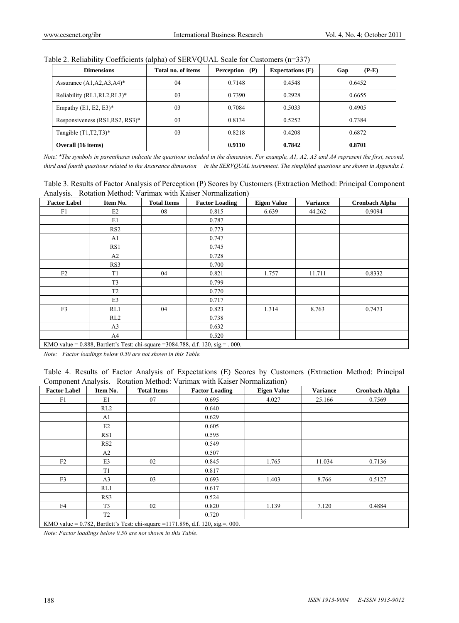| <b>Dimensions</b>               | Total no. of items | Perception (P) | Expectations $(E)$ | $(P-E)$<br>Gap |
|---------------------------------|--------------------|----------------|--------------------|----------------|
| Assurance $(A1, A2, A3, A4)^*$  | 04                 | 0.7148         | 0.4548             | 0.6452         |
| Reliability (RL1, RL2, RL3)*    | 03                 | 0.7390         | 0.2928             | 0.6655         |
| Empathy (E1, E2, E3) $*$        | 03                 | 0.7084         | 0.5033             | 0.4905         |
| Responsiveness (RS1, RS2, RS3)* | 03                 | 0.8134         | 0.5252             | 0.7384         |
| Tangible $(T1, T2, T3)^*$       | 03                 | 0.8218         | 0.4208             | 0.6872         |
| Overall (16 items)              |                    | 0.9110         | 0.7842             | 0.8701         |

Table 2. Reliability Coefficients (alpha) of SERVQUAL Scale for Customers (n=337)

*Note: \*The symbols in parentheses indicate the questions included in the dimension. For example, A1, A2, A3 and A4 represent the first, second, third and fourth questions related to the Assurance dimension in the SERVQUAL instrument. The simplified questions are shown in Appendix I.* 

| Table 3. Results of Factor Analysis of Perception (P) Scores by Customers (Extraction Method: Principal Component |
|-------------------------------------------------------------------------------------------------------------------|
| Analysis. Rotation Method: Varimax with Kaiser Normalization)                                                     |

| <b>Factor Label</b> | Item No.       | <b>Total Items</b> | <b>Factor Loading</b>                                                          | <b>Eigen Value</b> | <b>Variance</b> | <b>Cronbach Alpha</b> |
|---------------------|----------------|--------------------|--------------------------------------------------------------------------------|--------------------|-----------------|-----------------------|
| F1                  | E2             | 08                 | 0.815                                                                          | 6.639              | 44.262          | 0.9094                |
|                     | E1             |                    | 0.787                                                                          |                    |                 |                       |
|                     | RS2            |                    | 0.773                                                                          |                    |                 |                       |
|                     | A1             |                    | 0.747                                                                          |                    |                 |                       |
|                     | RS1            |                    | 0.745                                                                          |                    |                 |                       |
|                     | A2             |                    | 0.728                                                                          |                    |                 |                       |
|                     | RS3            |                    | 0.700                                                                          |                    |                 |                       |
| F2                  | T <sub>1</sub> | 04                 | 0.821                                                                          | 1.757              | 11.711          | 0.8332                |
|                     | T <sub>3</sub> |                    | 0.799                                                                          |                    |                 |                       |
|                     | T <sub>2</sub> |                    | 0.770                                                                          |                    |                 |                       |
|                     | E3             |                    | 0.717                                                                          |                    |                 |                       |
| F3                  | RL1            | 04                 | 0.823                                                                          | 1.314              | 8.763           | 0.7473                |
|                     | RL2            |                    | 0.738                                                                          |                    |                 |                       |
|                     | A <sub>3</sub> |                    | 0.632                                                                          |                    |                 |                       |
|                     | A4             |                    | 0.520                                                                          |                    |                 |                       |
|                     |                |                    | $KMO$ value = 0.888. Bartlett's Test: chi-square = 3084.788, d f 120 sig = 000 |                    |                 |                       |

KMO value =  $0.888$ , Bartlett's Test: chi-square =  $3084.788$ , d.f. 120, sig.

*Note: Factor loadings below 0.50 are not shown in this Table.* 

| Table 4. Results of Factor Analysis of Expectations (E) Scores by Customers (Extraction Method: Principal |  |
|-----------------------------------------------------------------------------------------------------------|--|
| Component Analysis. Rotation Method: Varimax with Kaiser Normalization)                                   |  |

| <b>Factor Label</b> | Item No.        | <b>Total Items</b> | <b>Factor Loading</b>                                                               | <b>Eigen Value</b> | <b>Variance</b> | <b>Cronbach Alpha</b> |
|---------------------|-----------------|--------------------|-------------------------------------------------------------------------------------|--------------------|-----------------|-----------------------|
| F1                  | E1              | 07                 | 0.695                                                                               | 4.027              | 25.166          | 0.7569                |
|                     | RL2             |                    | 0.640                                                                               |                    |                 |                       |
|                     | A1              |                    | 0.629                                                                               |                    |                 |                       |
|                     | E2              |                    | 0.605                                                                               |                    |                 |                       |
|                     | RS1             |                    | 0.595                                                                               |                    |                 |                       |
|                     | RS <sub>2</sub> |                    | 0.549                                                                               |                    |                 |                       |
|                     | A2              |                    | 0.507                                                                               |                    |                 |                       |
| F2                  | E3              | 02                 | 0.845                                                                               | 1.765              | 11.034          | 0.7136                |
|                     | T <sub>1</sub>  |                    | 0.817                                                                               |                    |                 |                       |
| F3                  | A <sub>3</sub>  | 03                 | 0.693                                                                               | 1.403              | 8.766           | 0.5127                |
|                     | RL1             |                    | 0.617                                                                               |                    |                 |                       |
|                     | RS3             |                    | 0.524                                                                               |                    |                 |                       |
| F4                  | T <sub>3</sub>  | 02                 | 0.820                                                                               | 1.139              | 7.120           | 0.4884                |
|                     | T <sub>2</sub>  |                    | 0.720                                                                               |                    |                 |                       |
|                     |                 |                    | KMO value = $0.782$ , Bartlett's Test: chi-square = 1171.896, d.f. 120, sig. = 000. |                    |                 |                       |

*Note: Factor loadings below 0.50 are not shown in this Table*.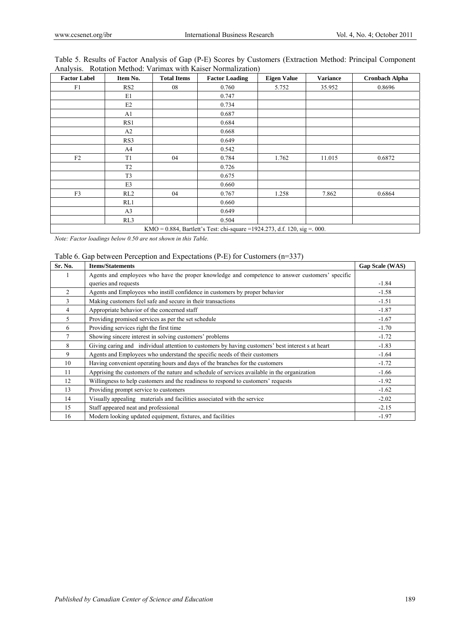| Table 5. Results of Factor Analysis of Gap (P-E) Scores by Customers (Extraction Method: Principal Component |  |
|--------------------------------------------------------------------------------------------------------------|--|
| Analysis. Rotation Method: Varimax with Kaiser Normalization)                                                |  |

| <b>Factor Label</b> | Item No.        | <b>Total Items</b> | <b>Factor Loading</b>                                                        | <b>Eigen Value</b> | <b>Variance</b> | <b>Cronbach Alpha</b> |
|---------------------|-----------------|--------------------|------------------------------------------------------------------------------|--------------------|-----------------|-----------------------|
| F1                  | RS <sub>2</sub> | 08                 | 0.760                                                                        | 5.752              | 35.952          | 0.8696                |
|                     | E1              |                    | 0.747                                                                        |                    |                 |                       |
|                     | E2              |                    | 0.734                                                                        |                    |                 |                       |
|                     | A1              |                    | 0.687                                                                        |                    |                 |                       |
|                     | RS1             |                    | 0.684                                                                        |                    |                 |                       |
|                     | A2              |                    | 0.668                                                                        |                    |                 |                       |
|                     | RS3             |                    | 0.649                                                                        |                    |                 |                       |
|                     | A4              |                    | 0.542                                                                        |                    |                 |                       |
| F2                  | T <sub>1</sub>  | 04                 | 0.784                                                                        | 1.762              | 11.015          | 0.6872                |
|                     | T <sub>2</sub>  |                    | 0.726                                                                        |                    |                 |                       |
|                     | T <sub>3</sub>  |                    | 0.675                                                                        |                    |                 |                       |
|                     | E3              |                    | 0.660                                                                        |                    |                 |                       |
| F3                  | RL2             | 04                 | 0.767                                                                        | 1.258              | 7.862           | 0.6864                |
|                     | RL1             |                    | 0.660                                                                        |                    |                 |                       |
|                     | A <sub>3</sub>  |                    | 0.649                                                                        |                    |                 |                       |
|                     | RL3             |                    | 0.504                                                                        |                    |                 |                       |
|                     |                 |                    | KMO = 0.884, Bartlett's Test: chi-square = $1924.273$ , d.f. 120, sig = 000. |                    |                 |                       |

*Note: Factor loadings below 0.50 are not shown in this Table.* 

# Table 6. Gap between Perception and Expectations (P-E) for Customers (n=337)

| Sr. No.        | <b>Items/Statements</b>                                                                           | Gap Scale (WAS) |
|----------------|---------------------------------------------------------------------------------------------------|-----------------|
|                | Agents and employees who have the proper knowledge and competence to answer customers' specific   |                 |
|                | queries and requests                                                                              | $-1.84$         |
| $\overline{2}$ | Agents and Employees who instill confidence in customers by proper behavior                       | $-1.58$         |
| 3              | Making customers feel safe and secure in their transactions                                       | $-1.51$         |
| 4              | Appropriate behavior of the concerned staff                                                       | $-1.87$         |
| 5              | Providing promised services as per the set schedule                                               | $-1.67$         |
| 6              | Providing services right the first time                                                           | $-1.70$         |
| 7              | Showing sincere interest in solving customers' problems                                           | $-1.72$         |
| 8              | Giving caring and individual attention to customers by having customers' best interest s at heart | $-1.83$         |
| 9              | Agents and Employees who understand the specific needs of their customers                         | $-1.64$         |
| 10             | Having convenient operating hours and days of the branches for the customers                      | $-1.72$         |
| 11             | Apprising the customers of the nature and schedule of services available in the organization      | $-1.66$         |
| 12             | Willingness to help customers and the readiness to respond to customers' requests                 | $-1.92$         |
| 13             | Providing prompt service to customers                                                             | $-1.62$         |
| 14             | Visually appealing materials and facilities associated with the service                           | $-2.02$         |
| 15             | Staff appeared neat and professional                                                              | $-2.15$         |
| 16             | Modern looking updated equipment, fixtures, and facilities                                        | $-1.97$         |